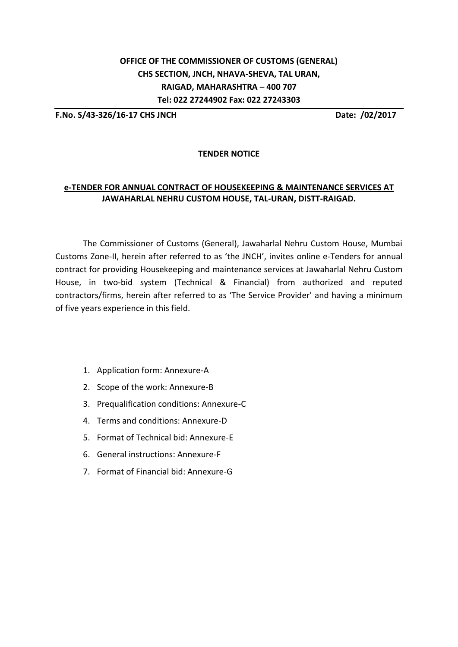## **OFFICE OF THE COMMISSIONER OF CUSTOMS (GENERAL) CHS SECTION, JNCH, NHAVA-SHEVA, TAL URAN, RAIGAD, MAHARASHTRA – 400 707 Tel: 022 27244902 Fax: 022 27243303**

**F.No. S/43-326/16-17 CHS JNCH Date: /02/2017**

## **TENDER NOTICE**

## **e-TENDER FOR ANNUAL CONTRACT OF HOUSEKEEPING & MAINTENANCE SERVICES AT JAWAHARLAL NEHRU CUSTOM HOUSE, TAL-URAN, DISTT-RAIGAD.**

The Commissioner of Customs (General), Jawaharlal Nehru Custom House, Mumbai Customs Zone-II, herein after referred to as 'the JNCH', invites online e-Tenders for annual contract for providing Housekeeping and maintenance services at Jawaharlal Nehru Custom House, in two-bid system (Technical & Financial) from authorized and reputed contractors/firms, herein after referred to as 'The Service Provider' and having a minimum of five years experience in this field.

- 1. Application form: Annexure-A
- 2. Scope of the work: Annexure-B
- 3. Prequalification conditions: Annexure-C
- 4. Terms and conditions: Annexure-D
- 5. Format of Technical bid: Annexure-E
- 6. General instructions: Annexure-F
- 7. Format of Financial bid: Annexure-G